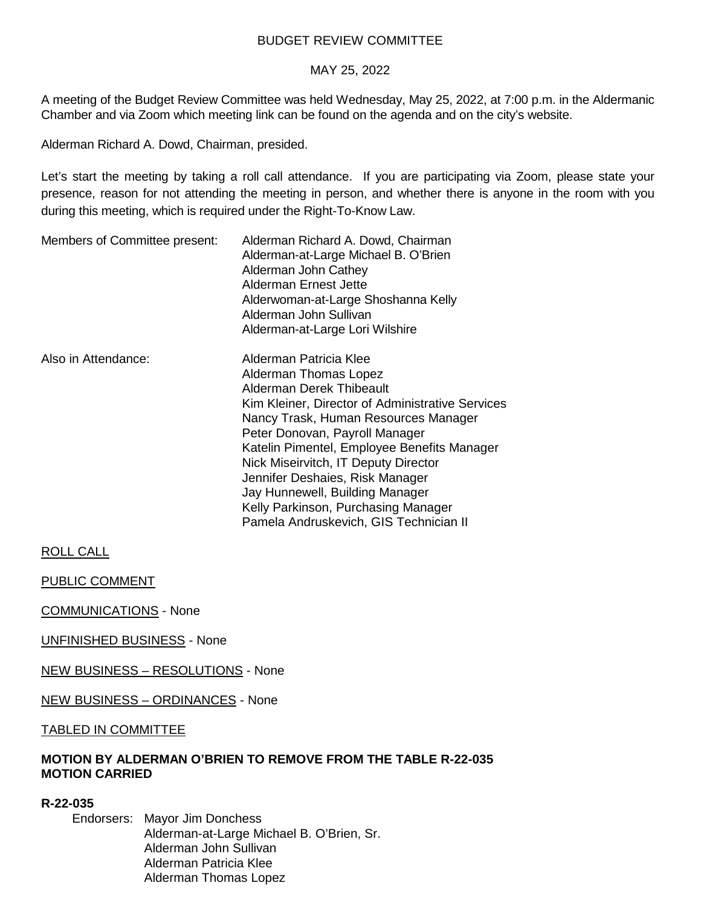# BUDGET REVIEW COMMITTEE

### MAY 25, 2022

A meeting of the Budget Review Committee was held Wednesday, May 25, 2022, at 7:00 p.m. in the Aldermanic Chamber and via Zoom which meeting link can be found on the agenda and on the city's website.

Alderman Richard A. Dowd, Chairman, presided.

Let's start the meeting by taking a roll call attendance. If you are participating via Zoom, please state your presence, reason for not attending the meeting in person, and whether there is anyone in the room with you during this meeting, which is required under the Right-To-Know Law.

| Members of Committee present: | Alderman Richard A. Dowd, Chairman<br>Alderman-at-Large Michael B. O'Brien<br>Alderman John Cathey<br>Alderman Ernest Jette<br>Alderwoman-at-Large Shoshanna Kelly<br>Alderman John Sullivan<br>Alderman-at-Large Lori Wilshire                                                                                                                                                                                                                         |
|-------------------------------|---------------------------------------------------------------------------------------------------------------------------------------------------------------------------------------------------------------------------------------------------------------------------------------------------------------------------------------------------------------------------------------------------------------------------------------------------------|
| Also in Attendance:           | Alderman Patricia Klee<br>Alderman Thomas Lopez<br>Alderman Derek Thibeault<br>Kim Kleiner, Director of Administrative Services<br>Nancy Trask, Human Resources Manager<br>Peter Donovan, Payroll Manager<br>Katelin Pimentel, Employee Benefits Manager<br>Nick Miseirvitch, IT Deputy Director<br>Jennifer Deshaies, Risk Manager<br>Jay Hunnewell, Building Manager<br>Kelly Parkinson, Purchasing Manager<br>Pamela Andruskevich, GIS Technician II |

ROLL CALL

PUBLIC COMMENT

COMMUNICATIONS - None

UNFINISHED BUSINESS - None

NEW BUSINESS – RESOLUTIONS - None

NEW BUSINESS – ORDINANCES - None

TABLED IN COMMITTEE

## **MOTION BY ALDERMAN O'BRIEN TO REMOVE FROM THE TABLE R-22-035 MOTION CARRIED**

### **R-22-035**

Endorsers: Mayor Jim Donchess Alderman-at-Large Michael B. O'Brien, Sr. Alderman John Sullivan Alderman Patricia Klee Alderman Thomas Lopez